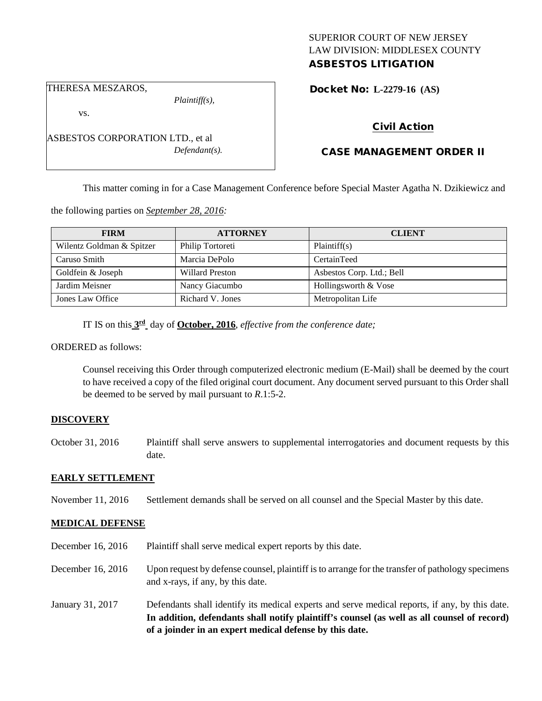# SUPERIOR COURT OF NEW JERSEY LAW DIVISION: MIDDLESEX COUNTY ASBESTOS LITIGATION

THERESA MESZAROS,

*Plaintiff(s),*

Docket No: **L-2279-16 (AS)** 

vs.

ASBESTOS CORPORATION LTD., et al *Defendant(s).*

# Civil Action

# CASE MANAGEMENT ORDER II

This matter coming in for a Case Management Conference before Special Master Agatha N. Dzikiewicz and

the following parties on *September 28, 2016:*

| <b>FIRM</b>               | <b>ATTORNEY</b>        | <b>CLIENT</b>             |
|---------------------------|------------------------|---------------------------|
| Wilentz Goldman & Spitzer | Philip Tortoreti       | Plaintiff(s)              |
| Caruso Smith              | Marcia DePolo          | CertainTeed               |
| Goldfein & Joseph         | <b>Willard Preston</b> | Asbestos Corp. Ltd.; Bell |
| Jardim Meisner            | Nancy Giacumbo         | Hollingsworth & Vose      |
| Jones Law Office          | Richard V. Jones       | Metropolitan Life         |

IT IS on this **3rd** day of **October, 2016**, *effective from the conference date;*

ORDERED as follows:

Counsel receiving this Order through computerized electronic medium (E-Mail) shall be deemed by the court to have received a copy of the filed original court document. Any document served pursuant to this Order shall be deemed to be served by mail pursuant to *R*.1:5-2.

# **DISCOVERY**

October 31, 2016 Plaintiff shall serve answers to supplemental interrogatories and document requests by this date.

#### **EARLY SETTLEMENT**

November 11, 2016 Settlement demands shall be served on all counsel and the Special Master by this date.

# **MEDICAL DEFENSE**

- December 16, 2016 Plaintiff shall serve medical expert reports by this date.
- December 16, 2016 Upon request by defense counsel, plaintiff is to arrange for the transfer of pathology specimens and x-rays, if any, by this date.
- January 31, 2017 Defendants shall identify its medical experts and serve medical reports, if any, by this date. **In addition, defendants shall notify plaintiff's counsel (as well as all counsel of record) of a joinder in an expert medical defense by this date.**